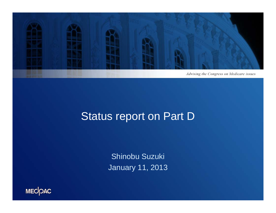

#### Status report on Part D

Shinobu Suzuki January 11, 2013

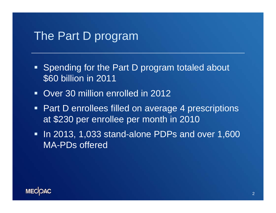#### The Part D program

- **Spending for the Part D program totaled about** \$60 billion in 2011
- Over 30 million enrolled in 2012
- **Part D enrollees filled on average 4 prescriptions** at \$230 per enrollee per month in 2010
- In 2013, 1,033 stand-alone PDPs and over 1,600 MA-PDs offered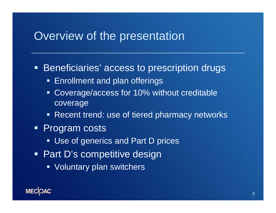#### Overview of the presentation

**Beneficiaries' access to prescription drugs** 

- **Enrollment and plan offerings**
- **Coverage/access for 10% without creditable** coverage
- **Recent trend: use of tiered pharmacy networks**
- **Program costs** 
	- **Use of generics and Part D prices**
- Part D's competitive design
	- **Voluntary plan switchers**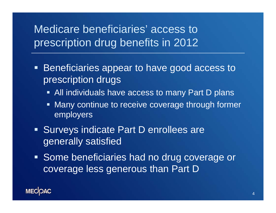#### Medicare beneficiaries' access to prescription drug benefits in 2012

- п. Beneficiaries appear to have good access to prescription drugs
	- All individuals have access to many Part D plans
	- **Many continue to receive coverage through former** employers
- **Surveys indicate Part D enrollees are** generally satisfied
- **Some beneficiaries had no drug coverage or** coverage less generous than Part D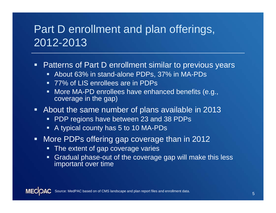## Part D enrollment and plan offerings, 2012-2013

- $\blacksquare$  Patterns of Part D enrollment similar to previous years
	- About 63% in stand-alone PDPs, 37% in MA-PDs
	- 77% of LIS enrollees are in PDPs
	- More MA-PD enrollees have enhanced benefits (e.g., coverage in the gap)
- About the same number of plans available in 2013
	- PDP regions have between 23 and 38 PDPs
	- A typical county has 5 to 10 MA-PDs
- $\blacksquare$  More PDPs offering gap coverage than in 2012
	- **The extent of gap coverage varies**
	- Gradual phase-out of the coverage gap will make this less important over time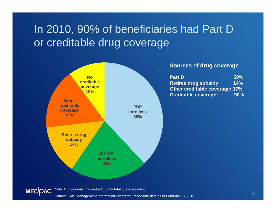# In 2010, 90% of beneficiaries had Part D or creditable drug coverage



#### **Sources of drug coverage**

| <b>Part D:</b>                        | 59% |
|---------------------------------------|-----|
| <b>Retiree drug subsidy:</b>          | 14% |
| <b>Other creditable coverage: 17%</b> |     |
| <b>Creditable coverage:</b>           | 90% |



Note: Components may not add to the total due to rounding.

Source: CMS Management Information Integrated Repository data as of February 16, 2010.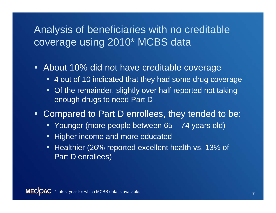#### Analysis of beneficiaries with no creditable coverage using 2010\* MCBS data

#### About 10% did not have creditable coverage

- 4 out of 10 indicated that they had some drug coverage
- $\blacksquare$  Of the remainder, slightly over half reported not taking enough drugs to need Part D

#### Ξ Compared to Part D enrollees, they tended to be:

- Younger (more people between 65 74 years old)
- **-** Higher income and more educated
- Healthier (26% reported excellent health vs. 13% of Part D enrollees)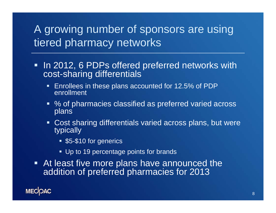# A growing number of sponsors are using tiered pharmacy networks

- In 2012, 6 PDPs offered preferred networks with cost-sharing differentials
	- **Enrollees in these plans accounted for 12.5% of PDP** enrollment
	- % of pharmacies classified as preferred varied across plans
	- Cost sharing differentials varied across plans, but were typically
		- **55-\$10 for generics**
		- Up to 19 percentage points for brands
- At least five more plans have announced the addition of preferred pharmacies for 2013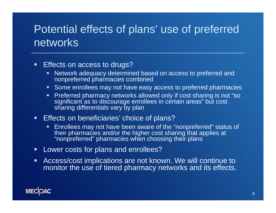# Potential effects of plans' use of preferred networks

 $\blacksquare$ Effects on access to drugs?

- Network adequacy determined based on access to preferred and nonpreferred pharmacies combined
- **Some enrollees may not have easy access to preferred pharmacies**
- **Preferred pharmacy networks allowed only if cost sharing is not "so** significant as to discourage enrollees in certain areas" but cost sharing differentials vary by plan
- $\blacksquare$  . Effects on beneficiaries' choice of plans?
	- $\blacksquare$  Enrollees may not have been aware of the "nonpreferred" status of their pharmacies and/or the higher cost sharing that applies at "nonpreferred" pharmacies when choosing their plans
- **Lower costs for plans and enrollees?**
- $\blacksquare$  Access/cost implications are not known. We will continue to monitor the use of tiered pharmacy networks and its effects.

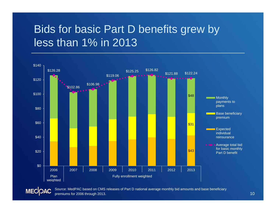# Bids for basic Part D benefits grew by less than 1% in 2013



Source: MedPAC based on CMS releases of Part D national average monthly bid amounts and base beneficiary **MECOAC** premiums for 2006 through 2013.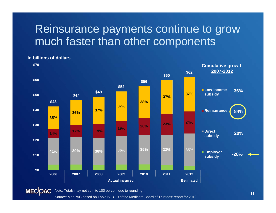#### Reinsurance payments continue to grow much faster than other components



**In billions of dollars**

Source: MedPAC based on Table IV.B.10 of the Medicare Board of Trustees' report for 2012.

11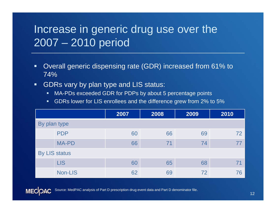# Increase in generic drug use over the 2007 – 2010 period

- $\blacksquare$  Overall generic dispensing rate (GDR) increased from 61% to 74%
- $\blacksquare$  GDRs vary by plan type and LIS status:
	- $\blacksquare$ MA-PDs exceeded GDR for PDPs by about 5 percentage points
	- GDRs lower for LIS enrollees and the difference grew from 2% to 5%

|                      |              | 2007 | 2008 | 2009 | 2010 |  |
|----------------------|--------------|------|------|------|------|--|
| By plan type         |              |      |      |      |      |  |
|                      | <b>PDP</b>   | 60   | 66   | 69   | 72   |  |
|                      | <b>MA-PD</b> | 66   | 71   | 74   |      |  |
| <b>By LIS status</b> |              |      |      |      |      |  |
|                      | <b>LIS</b>   | 60   | 65   | 68   |      |  |
|                      | Non-LIS      | 62   | 69   | 72   | 76   |  |



Source: MedPAC analysis of Part D prescription drug event data and Part D denominator file.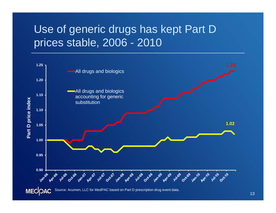# Use of generic drugs has kept Part D prices stable, 2006 - 2010



13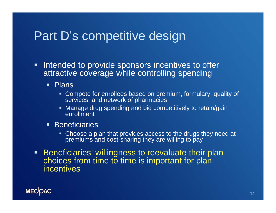### Part D's competitive design

- $\blacksquare$  Intended to provide sponsors incentives to offer attractive coverage while controlling spending
	- **Plans** 
		- Compete for enrollees based on premium, formulary, quality of services, and network of pharmacies
		- **Manage drug spending and bid competitively to retain/gain** enrollment
	- **Beneficiaries** 
		- Choose a plan that provides access to the drugs they need at premiums and cost-sharing they are willing to pay
- $\blacksquare$  Beneficiaries' willingness to reevaluate their plan choices from time to time is important for plan incentives

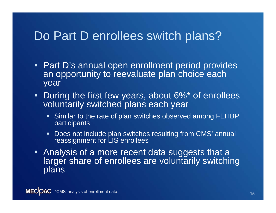# Do Part D enrollees switch plans?

- Part D's annual open enrollment period provides an opportunity to reevaluate plan choice each year
- $\blacksquare$  During the first few years, about 6%\* of enrollees voluntarily switched plans each year
	- **Similar to the rate of plan switches observed among FEHBP** participants
	- Does not include plan switches resulting from CMS' annual reassignment for LIS enrollees
- **Analysis of a more recent data suggests that a** larger share of enrollees are voluntarily switching plans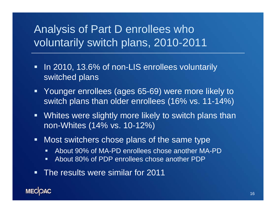### Analysis of Part D enrollees who voluntarily switch plans, 2010-2011

- $\blacksquare$  In 2010, 13.6% of non-LIS enrollees voluntarily switched plans
- $\blacksquare$  Younger enrollees (ages 65-69) were more likely to switch plans than older enrollees (16% vs. 11-14%)
- $\blacksquare$  Whites were slightly more likely to switch plans than non-Whites (14% vs. 10-12%)
- $\blacksquare$  Most switchers chose plans of the same type
	- $\blacksquare$ About 90% of MA-PD enrollees chose another MA-PD
	- $\blacksquare$ About 80% of PDP enrollees chose another PDP
- $\blacksquare$ The results were similar for 2011